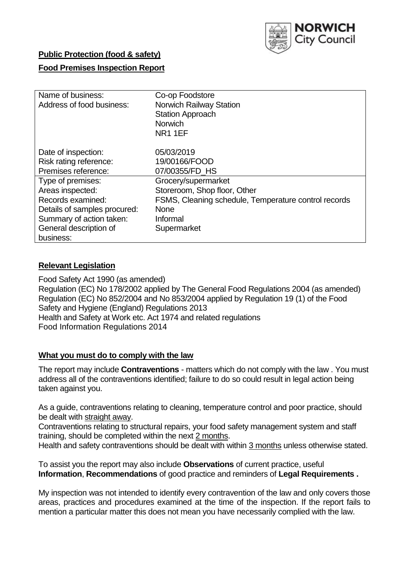

## **Public Protection (food & safety)**

### **Food Premises Inspection Report**

| Name of business:            | Co-op Foodstore                                      |  |  |  |  |  |
|------------------------------|------------------------------------------------------|--|--|--|--|--|
| Address of food business:    | <b>Norwich Railway Station</b>                       |  |  |  |  |  |
|                              | <b>Station Approach</b>                              |  |  |  |  |  |
|                              | <b>Norwich</b>                                       |  |  |  |  |  |
|                              | <b>NR11EF</b>                                        |  |  |  |  |  |
|                              |                                                      |  |  |  |  |  |
| Date of inspection:          | 05/03/2019                                           |  |  |  |  |  |
| Risk rating reference:       | 19/00166/FOOD                                        |  |  |  |  |  |
| Premises reference:          | 07/00355/FD HS                                       |  |  |  |  |  |
| Type of premises:            | Grocery/supermarket                                  |  |  |  |  |  |
| Areas inspected:             | Storeroom, Shop floor, Other                         |  |  |  |  |  |
| Records examined:            | FSMS, Cleaning schedule, Temperature control records |  |  |  |  |  |
| Details of samples procured: | <b>None</b>                                          |  |  |  |  |  |
| Summary of action taken:     | Informal                                             |  |  |  |  |  |
| General description of       | Supermarket                                          |  |  |  |  |  |
| business:                    |                                                      |  |  |  |  |  |

#### **Relevant Legislation**

Food Safety Act 1990 (as amended) Regulation (EC) No 178/2002 applied by The General Food Regulations 2004 (as amended) Regulation (EC) No 852/2004 and No 853/2004 applied by Regulation 19 (1) of the Food Safety and Hygiene (England) Regulations 2013 Health and Safety at Work etc. Act 1974 and related regulations Food Information Regulations 2014

#### **What you must do to comply with the law**

The report may include **Contraventions** - matters which do not comply with the law . You must address all of the contraventions identified; failure to do so could result in legal action being taken against you.

As a guide, contraventions relating to cleaning, temperature control and poor practice, should be dealt with straight away.

Contraventions relating to structural repairs, your food safety management system and staff training, should be completed within the next 2 months.

Health and safety contraventions should be dealt with within 3 months unless otherwise stated.

To assist you the report may also include **Observations** of current practice, useful **Information**, **Recommendations** of good practice and reminders of **Legal Requirements .**

My inspection was not intended to identify every contravention of the law and only covers those areas, practices and procedures examined at the time of the inspection. If the report fails to mention a particular matter this does not mean you have necessarily complied with the law.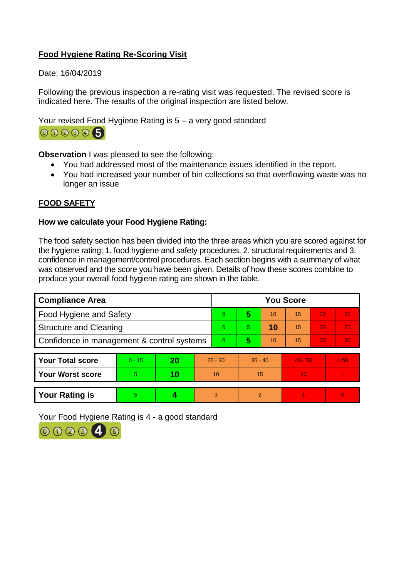# **Food Hygiene Rating Re-Scoring Visit**

Date: 16/04/2019

Following the previous inspection a re-rating visit was requested. The revised score is indicated here. The results of the original inspection are listed below.

Your revised Food Hygiene Rating is 5 – a very good standard



**Observation** I was pleased to see the following:

- You had addressed most of the maintenance issues identified in the report.
- You had increased your number of bin collections so that overflowing waste was no longer an issue

# **FOOD SAFETY**

## **How we calculate your Food Hygiene Rating:**

The food safety section has been divided into the three areas which you are scored against for the hygiene rating: 1. food hygiene and safety procedures, 2. structural requirements and 3. confidence in management/control procedures. Each section begins with a summary of what was observed and the score you have been given. Details of how these scores combine to produce your overall food hygiene rating are shown in the table.

| <b>Compliance Area</b>                     |          |    |                | <b>You Score</b> |                |    |           |    |          |  |  |
|--------------------------------------------|----------|----|----------------|------------------|----------------|----|-----------|----|----------|--|--|
| Food Hygiene and Safety                    |          |    |                | $\Omega$         | 5              | 10 | 15        | 20 | 25       |  |  |
| <b>Structure and Cleaning</b>              |          |    |                | $\Omega$         | 5.             | 10 | 15        | 20 | 25       |  |  |
| Confidence in management & control systems |          |    | $\overline{0}$ | 5                | 10             | 15 | 20        | 30 |          |  |  |
|                                            |          |    |                |                  |                |    |           |    |          |  |  |
| <b>Your Total score</b>                    | $0 - 15$ | 20 | $25 - 30$      |                  | $35 - 40$      |    | $45 - 50$ |    | > 50     |  |  |
| <b>Your Worst score</b>                    | 5        | 10 | 10             |                  | 15             |    | 20        |    |          |  |  |
|                                            |          |    |                |                  |                |    |           |    |          |  |  |
| <b>Your Rating is</b>                      | 5        |    | 3              |                  | $\overline{2}$ |    |           |    | $\Omega$ |  |  |

Your Food Hygiene Rating is 4 - a good standard

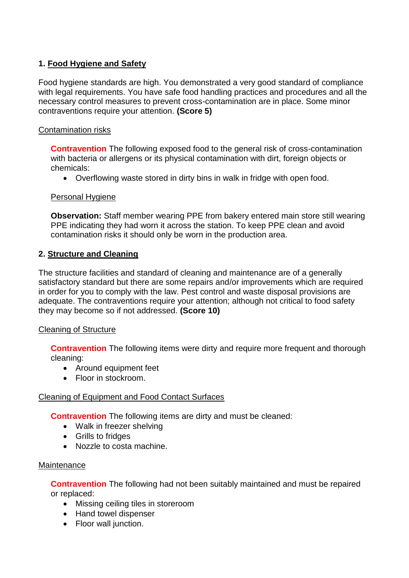# **1. Food Hygiene and Safety**

Food hygiene standards are high. You demonstrated a very good standard of compliance with legal requirements. You have safe food handling practices and procedures and all the necessary control measures to prevent cross-contamination are in place. Some minor contraventions require your attention. **(Score 5)**

## Contamination risks

**Contravention** The following exposed food to the general risk of cross-contamination with bacteria or allergens or its physical contamination with dirt, foreign objects or chemicals:

Overflowing waste stored in dirty bins in walk in fridge with open food.

### Personal Hygiene

**Observation:** Staff member wearing PPE from bakery entered main store still wearing PPE indicating they had worn it across the station. To keep PPE clean and avoid contamination risks it should only be worn in the production area.

## **2. Structure and Cleaning**

The structure facilities and standard of cleaning and maintenance are of a generally satisfactory standard but there are some repairs and/or improvements which are required in order for you to comply with the law. Pest control and waste disposal provisions are adequate. The contraventions require your attention; although not critical to food safety they may become so if not addressed. **(Score 10)**

### Cleaning of Structure

**Contravention** The following items were dirty and require more frequent and thorough cleaning:

- Around equipment feet
- Floor in stockroom.

# Cleaning of Equipment and Food Contact Surfaces

**Contravention** The following items are dirty and must be cleaned:

- Walk in freezer shelving
- Grills to fridges
- Nozzle to costa machine.

### **Maintenance**

**Contravention** The following had not been suitably maintained and must be repaired or replaced:

- Missing ceiling tiles in storeroom
- Hand towel dispenser
- Floor wall junction.